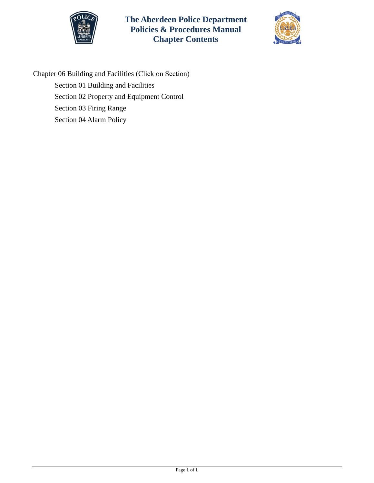



Chapter 06 Building and Facilities (Click on Section) [Section 01 Building and Facilities](#page-1-0)  [Section 02 Property and Equipment Control](#page-3-0)  [Section 03 Firing Range](#page-5-0)  [Section 04 Alarm Policy](#page-8-0)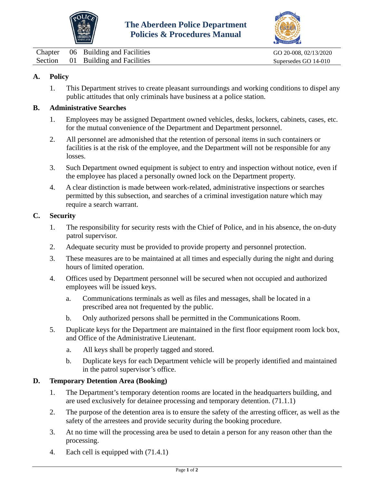



<span id="page-1-0"></span>

|  | Chapter 06 Building and Facilities | GO 20-008, 02/13/2020 |
|--|------------------------------------|-----------------------|
|  | Section 01 Building and Facilities | Supersedes GO 14-010  |

# **A. Policy**

1. This Department strives to create pleasant surroundings and working conditions to dispel any public attitudes that only criminals have business at a police station.

## **B. Administrative Searches**

- 1. Employees may be assigned Department owned vehicles, desks, lockers, cabinets, cases, etc. for the mutual convenience of the Department and Department personnel.
- 2. All personnel are admonished that the retention of personal items in such containers or facilities is at the risk of the employee, and the Department will not be responsible for any losses.
- 3. Such Department owned equipment is subject to entry and inspection without notice, even if the employee has placed a personally owned lock on the Department property.
- 4. A clear distinction is made between work-related, administrative inspections or searches permitted by this subsection, and searches of a criminal investigation nature which may require a search warrant.

#### **C. Security**

- 1. The responsibility for security rests with the Chief of Police, and in his absence, the on-duty patrol supervisor.
- 2. Adequate security must be provided to provide property and personnel protection.
- 3. These measures are to be maintained at all times and especially during the night and during hours of limited operation.
- 4. Offices used by Department personnel will be secured when not occupied and authorized employees will be issued keys.
	- a. Communications terminals as well as files and messages, shall be located in a prescribed area not frequented by the public.
	- b. Only authorized persons shall be permitted in the Communications Room.
- 5. Duplicate keys for the Department are maintained in the first floor equipment room lock box, and Office of the Administrative Lieutenant.
	- a. All keys shall be properly tagged and stored.
	- b. Duplicate keys for each Department vehicle will be properly identified and maintained in the patrol supervisor's office.

## **D. Temporary Detention Area (Booking)**

- 1. The Department's temporary detention rooms are located in the headquarters building, and are used exclusively for detainee processing and temporary detention. (71.1.1)
- 2. The purpose of the detention area is to ensure the safety of the arresting officer, as well as the safety of the arrestees and provide security during the booking procedure.
- 3. At no time will the processing area be used to detain a person for any reason other than the processing.
- 4. Each cell is equipped with (71.4.1)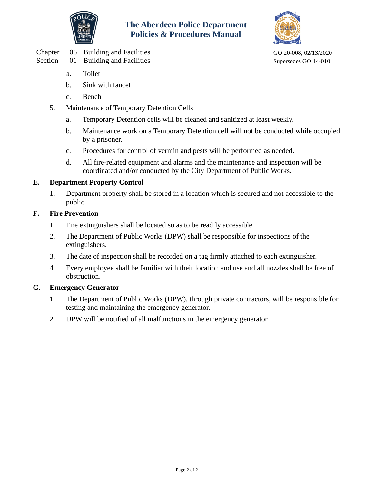



- a. Toilet
- b. Sink with faucet
- c. Bench
- 5. Maintenance of Temporary Detention Cells
	- a. Temporary Detention cells will be cleaned and sanitized at least weekly.
	- b. Maintenance work on a Temporary Detention cell will not be conducted while occupied by a prisoner.
	- c. Procedures for control of vermin and pests will be performed as needed.
	- d. All fire-related equipment and alarms and the maintenance and inspection will be coordinated and/or conducted by the City Department of Public Works.

# **E. Department Property Control**

1. Department property shall be stored in a location which is secured and not accessible to the public.

# **F. Fire Prevention**

- 1. Fire extinguishers shall be located so as to be readily accessible.
- 2. The Department of Public Works (DPW) shall be responsible for inspections of the extinguishers.
- 3. The date of inspection shall be recorded on a tag firmly attached to each extinguisher.
- 4. Every employee shall be familiar with their location and use and all nozzles shall be free of obstruction.

## **G. Emergency Generator**

- 1. The Department of Public Works (DPW), through private contractors, will be responsible for testing and maintaining the emergency generator.
- 2. DPW will be notified of all malfunctions in the emergency generator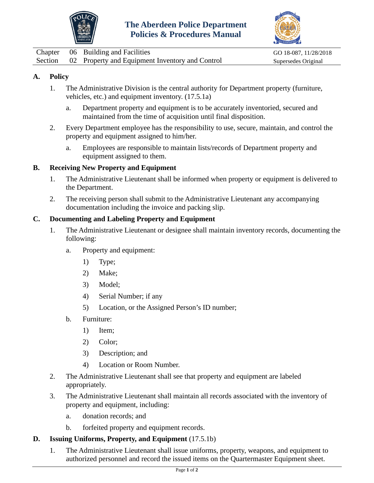



<span id="page-3-0"></span>

|  | Chapter 06 Building and Facilities                      | GO 18-087, 11/28/2018 |
|--|---------------------------------------------------------|-----------------------|
|  | Section 02 Property and Equipment Inventory and Control | Supersedes Original   |

# **A. Policy**

- 1. The Administrative Division is the central authority for Department property (furniture, vehicles, etc.) and equipment inventory. (17.5.1a)
	- a. Department property and equipment is to be accurately inventoried, secured and maintained from the time of acquisition until final disposition.
- 2. Every Department employee has the responsibility to use, secure, maintain, and control the property and equipment assigned to him/her.
	- a. Employees are responsible to maintain lists/records of Department property and equipment assigned to them.

## **B. Receiving New Property and Equipment**

- 1. The Administrative Lieutenant shall be informed when property or equipment is delivered to the Department.
- 2. The receiving person shall submit to the Administrative Lieutenant any accompanying documentation including the invoice and packing slip.

#### **C. Documenting and Labeling Property and Equipment**

- 1. The Administrative Lieutenant or designee shall maintain inventory records, documenting the following:
	- a. Property and equipment:
		- 1) Type;
		- 2) Make;
		- 3) Model;
		- 4) Serial Number; if any
		- 5) Location, or the Assigned Person's ID number;
	- b. Furniture:
		- 1) Item;
		- 2) Color;
		- 3) Description; and
		- 4) Location or Room Number.
- 2. The Administrative Lieutenant shall see that property and equipment are labeled appropriately.
- 3. The Administrative Lieutenant shall maintain all records associated with the inventory of property and equipment, including:
	- a. donation records; and
	- b. forfeited property and equipment records.

#### **D. Issuing Uniforms, Property, and Equipment** (17.5.1b)

1. The Administrative Lieutenant shall issue uniforms, property, weapons, and equipment to authorized personnel and record the issued items on the Quartermaster Equipment sheet.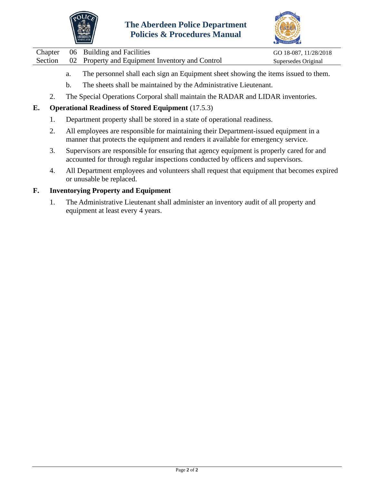



Chapter 06 Building and Facilities GO 18-087, 11/28/2018 Section 02 Property and Equipment Inventory and Control Supersedes Original

- a. The personnel shall each sign an Equipment sheet showing the items issued to them.
- b. The sheets shall be maintained by the Administrative Lieutenant.
- 2. The Special Operations Corporal shall maintain the RADAR and LIDAR inventories.

# **E. Operational Readiness of Stored Equipment** (17.5.3)

- 1. Department property shall be stored in a state of operational readiness.
- 2. All employees are responsible for maintaining their Department-issued equipment in a manner that protects the equipment and renders it available for emergency service.
- 3. Supervisors are responsible for ensuring that agency equipment is properly cared for and accounted for through regular inspections conducted by officers and supervisors.
- 4. All Department employees and volunteers shall request that equipment that becomes expired or unusable be replaced.

## **F. Inventorying Property and Equipment**

1. The Administrative Lieutenant shall administer an inventory audit of all property and equipment at least every 4 years.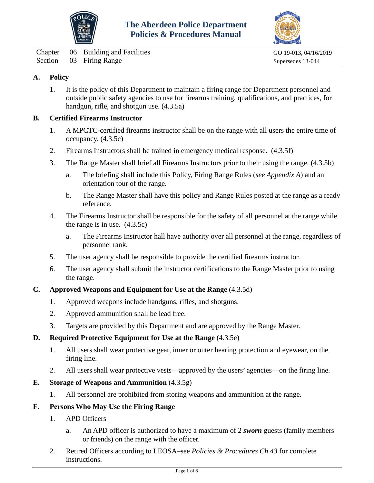



<span id="page-5-0"></span>Chapter 06 Building and Facilities GO 19-013, 04/16/2019 Section 03 Firing Range Supersedes 13-044

# **A. Policy**

1. It is the policy of this Department to maintain a firing range for Department personnel and outside public safety agencies to use for firearms training, qualifications, and practices, for handgun, rifle, and shotgun use. (4.3.5a)

## **B. Certified Firearms Instructor**

- 1. A MPCTC-certified firearms instructor shall be on the range with all users the entire time of occupancy. (4.3.5c)
- 2. Firearms Instructors shall be trained in emergency medical response. (4.3.5f)
- 3. The Range Master shall brief all Firearms Instructors prior to their using the range. (4.3.5b)
	- a. The briefing shall include this Policy, Firing Range Rules (*see Appendix A*) and an orientation tour of the range.
	- b. The Range Master shall have this policy and Range Rules posted at the range as a ready reference.
- 4. The Firearms Instructor shall be responsible for the safety of all personnel at the range while the range is in use. (4.3.5c)
	- a. The Firearms Instructor hall have authority over all personnel at the range, regardless of personnel rank.
- 5. The user agency shall be responsible to provide the certified firearms instructor.
- 6. The user agency shall submit the instructor certifications to the Range Master prior to using the range.

## **C. Approved Weapons and Equipment for Use at the Range** (4.3.5d)

- 1. Approved weapons include handguns, rifles, and shotguns.
- 2. Approved ammunition shall be lead free.
- 3. Targets are provided by this Department and are approved by the Range Master.

## **D. Required Protective Equipment for Use at the Range** (4.3.5e)

- 1. All users shall wear protective gear, inner or outer hearing protection and eyewear, on the firing line.
- 2. All users shall wear protective vests—approved by the users' agencies—on the firing line.

# **E. Storage of Weapons and Ammunition** (4.3.5g)

1. All personnel are prohibited from storing weapons and ammunition at the range.

# **F. Persons Who May Use the Firing Range**

- 1. APD Officers
	- a. An APD officer is authorized to have a maximum of 2 *sworn* guests (family members or friends) on the range with the officer.
- 2. Retired Officers according to LEOSA–see *Policies & Procedures Ch 43* for complete instructions.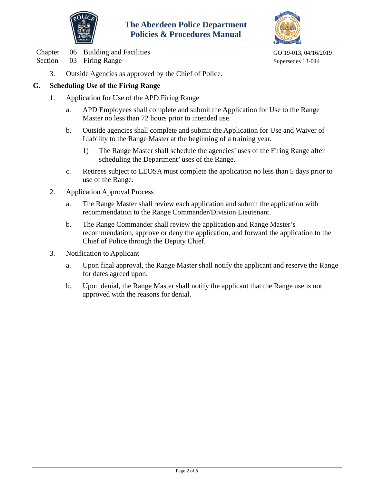



Chapter 06 Building and Facilities GO 19-013, 04/16/2019 Section 03 Firing Range Supersedes 13-044

3. Outside Agencies as approved by the Chief of Police.

## **G. Scheduling Use of the Firing Range**

- 1. Application for Use of the APD Firing Range
	- a. APD Employees shall complete and submit the Application for Use to the Range Master no less than 72 hours prior to intended use.
	- b. Outside agencies shall complete and submit the Application for Use and Waiver of Liability to the Range Master at the beginning of a training year.
		- 1) The Range Master shall schedule the agencies' uses of the Firing Range after scheduling the Department' uses of the Range.
	- c. Retirees subject to LEOSA must complete the application no less than 5 days prior to use of the Range.
- 2. Application Approval Process
	- a. The Range Master shall review each application and submit the application with recommendation to the Range Commander/Division Lieutenant.
	- b. The Range Commander shall review the application and Range Master's recommendation, approve or deny the application, and forward the application to the Chief of Police through the Deputy Chief.
- 3. Notification to Applicant
	- a. Upon final approval, the Range Master shall notify the applicant and reserve the Range for dates agreed upon.
	- b. Upon denial, the Range Master shall notify the applicant that the Range use is not approved with the reasons for denial.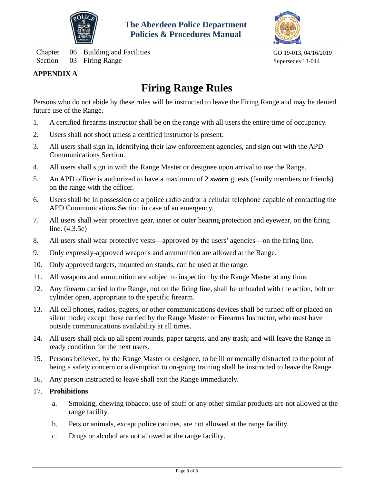

Chapter 06 Building and Facilities GO 19-013, 04/16/2019 Section 03 Firing Range Supersedes 13-044



# **APPENDIX A**

# **Firing Range Rules**

Persons who do not abide by these rules will be instructed to leave the Firing Range and may be denied future use of the Range.

- 1. A certified firearms instructor shall be on the range with all users the entire time of occupancy.
- 2. Users shall not shoot unless a certified instructor is present.
- 3. All users shall sign in, identifying their law enforcement agencies, and sign out with the APD Communications Section.
- 4. All users shall sign in with the Range Master or designee upon arrival to use the Range.
- 5. An APD officer is authorized to have a maximum of 2 *sworn* guests (family members or friends) on the range with the officer.
- 6. Users shall be in possession of a police radio and/or a cellular telephone capable of contacting the APD Communications Section in case of an emergency.
- 7. All users shall wear protective gear, inner or outer hearing protection and eyewear, on the firing line. (4.3.5e)
- 8. All users shall wear protective vests—approved by the users' agencies—on the firing line.
- 9. Only expressly-approved weapons and ammunition are allowed at the Range.
- 10. Only approved targets, mounted on stands, can be used at the range.
- 11. All weapons and ammunition are subject to inspection by the Range Master at any time.
- 12. Any firearm carried to the Range, not on the firing line, shall be unloaded with the action, bolt or cylinder open, appropriate to the specific firearm.
- 13. All cell phones, radios, pagers, or other communications devices shall be turned off or placed on silent mode; except those carried by the Range Master or Firearms Instructor, who must have outside communications availability at all times.
- 14. All users shall pick up all spent rounds, paper targets, and any trash; and will leave the Range in ready condition for the next users.
- 15. Persons believed, by the Range Master or designee, to be ill or mentally distracted to the point of being a safety concern or a disruption to on-going training shall be instructed to leave the Range.
- 16. Any person instructed to leave shall exit the Range immediately.

## 17. **Prohibitions**

- a. Smoking, chewing tobacco, use of snuff or any other similar products are not allowed at the range facility.
- b. Pets or animals, except police canines, are not allowed at the range facility.
- c. Drugs or alcohol are not allowed at the range facility.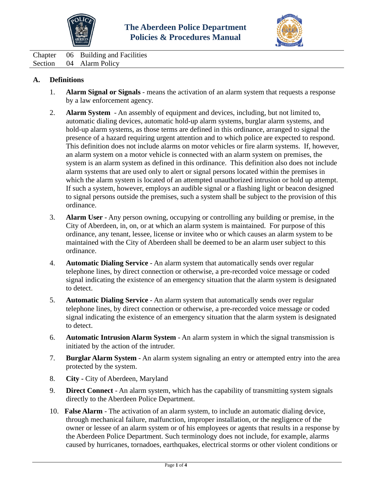



<span id="page-8-0"></span>Chapter 06 Building and Facilities Section 04 Alarm Policy

# **A. Definitions**

- 1. **Alarm Signal or Signals** means the activation of an alarm system that requests a response by a law enforcement agency.
- 2. **Alarm System** An assembly of equipment and devices, including, but not limited to, automatic dialing devices, automatic hold-up alarm systems, burglar alarm systems, and hold-up alarm systems, as those terms are defined in this ordinance, arranged to signal the presence of a hazard requiring urgent attention and to which police are expected to respond. This definition does not include alarms on motor vehicles or fire alarm systems. If, however, an alarm system on a motor vehicle is connected with an alarm system on premises, the system is an alarm system as defined in this ordinance. This definition also does not include alarm systems that are used only to alert or signal persons located within the premises in which the alarm system is located of an attempted unauthorized intrusion or hold up attempt. If such a system, however, employs an audible signal or a flashing light or beacon designed to signal persons outside the premises, such a system shall be subject to the provision of this ordinance.
- 3. **Alarm User** Any person owning, occupying or controlling any building or premise, in the City of Aberdeen, in, on, or at which an alarm system is maintained. For purpose of this ordinance, any tenant, lessee, license or invitee who or which causes an alarm system to be maintained with the City of Aberdeen shall be deemed to be an alarm user subject to this ordinance.
- 4. **Automatic Dialing Service** An alarm system that automatically sends over regular telephone lines, by direct connection or otherwise, a pre-recorded voice message or coded signal indicating the existence of an emergency situation that the alarm system is designated to detect.
- 5. **Automatic Dialing Service** An alarm system that automatically sends over regular telephone lines, by direct connection or otherwise, a pre-recorded voice message or coded signal indicating the existence of an emergency situation that the alarm system is designated to detect.
- 6. **Automatic Intrusion Alarm System** An alarm system in which the signal transmission is initiated by the action of the intruder.
- 7. **Burglar Alarm System** An alarm system signaling an entry or attempted entry into the area protected by the system.
- 8. **City -** City of Aberdeen, Maryland
- 9. **Direct Connect** An alarm system, which has the capability of transmitting system signals directly to the Aberdeen Police Department.
- 10. **False Alarm** The activation of an alarm system, to include an automatic dialing device, through mechanical failure, malfunction, improper installation, or the negligence of the owner or lessee of an alarm system or of his employees or agents that results in a response by the Aberdeen Police Department. Such terminology does not include, for example, alarms caused by hurricanes, tornadoes, earthquakes, electrical storms or other violent conditions or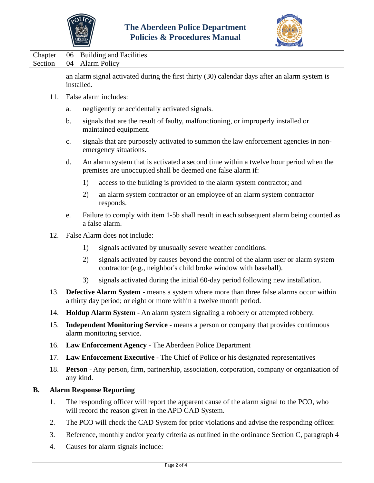



Chapter 06 Building and Facilities Section 04 Alarm Policy

> an alarm signal activated during the first thirty (30) calendar days after an alarm system is installed.

- 11. False alarm includes:
	- a. negligently or accidentally activated signals.
	- b. signals that are the result of faulty, malfunctioning, or improperly installed or maintained equipment.
	- c. signals that are purposely activated to summon the law enforcement agencies in nonemergency situations.
	- d. An alarm system that is activated a second time within a twelve hour period when the premises are unoccupied shall be deemed one false alarm if:
		- 1) access to the building is provided to the alarm system contractor; and
		- 2) an alarm system contractor or an employee of an alarm system contractor responds.
	- e. Failure to comply with item 1-5b shall result in each subsequent alarm being counted as a false alarm.
- 12. False Alarm does not include:
	- 1) signals activated by unusually severe weather conditions.
	- 2) signals activated by causes beyond the control of the alarm user or alarm system contractor (e.g., neighbor's child broke window with baseball).
	- 3) signals activated during the initial 60-day period following new installation.
- 13. **Defective Alarm System** means a system where more than three false alarms occur within a thirty day period; or eight or more within a twelve month period.
- 14. **Holdup Alarm System** An alarm system signaling a robbery or attempted robbery.
- 15. **Independent Monitoring Service** means a person or company that provides continuous alarm monitoring service.
- 16. **Law Enforcement Agency**  The Aberdeen Police Department
- 17. **Law Enforcement Executive** The Chief of Police or his designated representatives
- 18. **Person** Any person, firm, partnership, association, corporation, company or organization of any kind.

## **B. Alarm Response Reporting**

- 1. The responding officer will report the apparent cause of the alarm signal to the PCO, who will record the reason given in the APD CAD System.
- 2. The PCO will check the CAD System for prior violations and advise the responding officer.
- 3. Reference, monthly and/or yearly criteria as outlined in the ordinance Section C, paragraph 4
- 4. Causes for alarm signals include: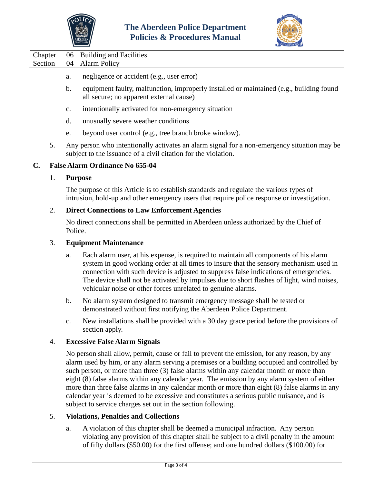



- a. negligence or accident (e.g., user error)
- b. equipment faulty, malfunction, improperly installed or maintained (e.g., building found all secure; no apparent external cause)
- c. intentionally activated for non-emergency situation
- d. unusually severe weather conditions
- e. beyond user control (e.g., tree branch broke window).
- 5. Any person who intentionally activates an alarm signal for a non-emergency situation may be subject to the issuance of a civil citation for the violation.

#### **C. False Alarm Ordinance No 655-04**

#### 1. **Purpose**

The purpose of this Article is to establish standards and regulate the various types of intrusion, hold-up and other emergency users that require police response or investigation.

#### 2. **Direct Connections to Law Enforcement Agencies**

No direct connections shall be permitted in Aberdeen unless authorized by the Chief of Police.

## 3. **Equipment Maintenance**

- a. Each alarm user, at his expense, is required to maintain all components of his alarm system in good working order at all times to insure that the sensory mechanism used in connection with such device is adjusted to suppress false indications of emergencies. The device shall not be activated by impulses due to short flashes of light, wind noises, vehicular noise or other forces unrelated to genuine alarms.
- b. No alarm system designed to transmit emergency message shall be tested or demonstrated without first notifying the Aberdeen Police Department.
- c. New installations shall be provided with a 30 day grace period before the provisions of section apply.

#### 4. **Excessive False Alarm Signals**

No person shall allow, permit, cause or fail to prevent the emission, for any reason, by any alarm used by him, or any alarm serving a premises or a building occupied and controlled by such person, or more than three (3) false alarms within any calendar month or more than eight (8) false alarms within any calendar year. The emission by any alarm system of either more than three false alarms in any calendar month or more than eight (8) false alarms in any calendar year is deemed to be excessive and constitutes a serious public nuisance, and is subject to service charges set out in the section following.

## 5. **Violations, Penalties and Collections**

a. A violation of this chapter shall be deemed a municipal infraction. Any person violating any provision of this chapter shall be subject to a civil penalty in the amount of fifty dollars (\$50.00) for the first offense; and one hundred dollars (\$100.00) for